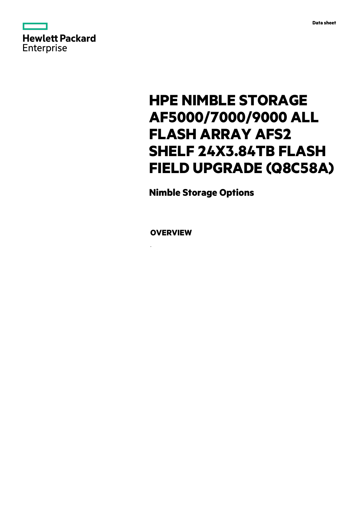



# **HPE NIMBLE STORAGE AF5000/7000/9000 ALL FLASH ARRAY AFS2 SHELF 24X3.84TB FLASH FIELD UPGRADE (Q8C58A)**

**Nimble Storage Options**

**OVERVIEW**

.